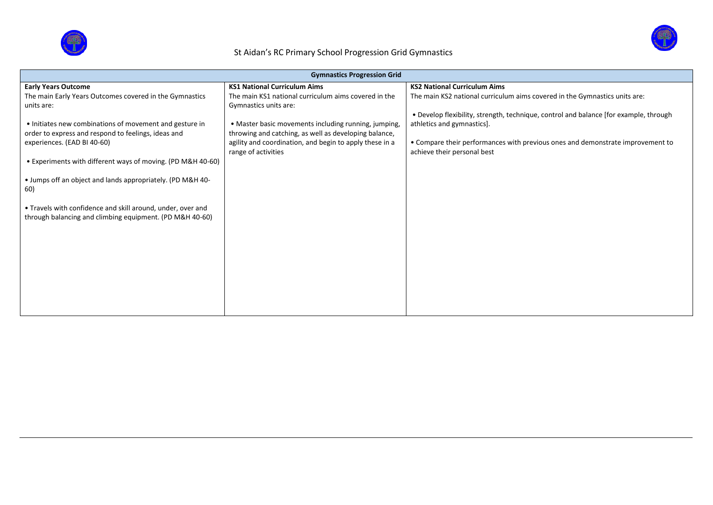

## St Aidan's RC Primary School Progression Grid Gymnastics



| <b>Gymnastics Progression Grid</b>                          |                                                         |                                                                                       |  |  |  |  |  |  |
|-------------------------------------------------------------|---------------------------------------------------------|---------------------------------------------------------------------------------------|--|--|--|--|--|--|
| <b>Early Years Outcome</b>                                  | <b>KS1 National Curriculum Aims</b>                     | <b>KS2 National Curriculum Aims</b>                                                   |  |  |  |  |  |  |
| The main Early Years Outcomes covered in the Gymnastics     | The main KS1 national curriculum aims covered in the    | The main KS2 national curriculum aims covered in the Gymnastics units are:            |  |  |  |  |  |  |
| units are:                                                  | Gymnastics units are:                                   |                                                                                       |  |  |  |  |  |  |
|                                                             |                                                         | • Develop flexibility, strength, technique, control and balance [for example, through |  |  |  |  |  |  |
| • Initiates new combinations of movement and gesture in     | • Master basic movements including running, jumping,    | athletics and gymnastics].                                                            |  |  |  |  |  |  |
| order to express and respond to feelings, ideas and         | throwing and catching, as well as developing balance,   |                                                                                       |  |  |  |  |  |  |
| experiences. (EAD BI 40-60)                                 | agility and coordination, and begin to apply these in a | • Compare their performances with previous ones and demonstrate improvement to        |  |  |  |  |  |  |
|                                                             | range of activities                                     | achieve their personal best                                                           |  |  |  |  |  |  |
| • Experiments with different ways of moving. (PD M&H 40-60) |                                                         |                                                                                       |  |  |  |  |  |  |
|                                                             |                                                         |                                                                                       |  |  |  |  |  |  |
| • Jumps off an object and lands appropriately. (PD M&H 40-  |                                                         |                                                                                       |  |  |  |  |  |  |
| 60)                                                         |                                                         |                                                                                       |  |  |  |  |  |  |
|                                                             |                                                         |                                                                                       |  |  |  |  |  |  |
| • Travels with confidence and skill around, under, over and |                                                         |                                                                                       |  |  |  |  |  |  |
| through balancing and climbing equipment. (PD M&H 40-60)    |                                                         |                                                                                       |  |  |  |  |  |  |
|                                                             |                                                         |                                                                                       |  |  |  |  |  |  |
|                                                             |                                                         |                                                                                       |  |  |  |  |  |  |
|                                                             |                                                         |                                                                                       |  |  |  |  |  |  |
|                                                             |                                                         |                                                                                       |  |  |  |  |  |  |
|                                                             |                                                         |                                                                                       |  |  |  |  |  |  |
|                                                             |                                                         |                                                                                       |  |  |  |  |  |  |
|                                                             |                                                         |                                                                                       |  |  |  |  |  |  |
|                                                             |                                                         |                                                                                       |  |  |  |  |  |  |
|                                                             |                                                         |                                                                                       |  |  |  |  |  |  |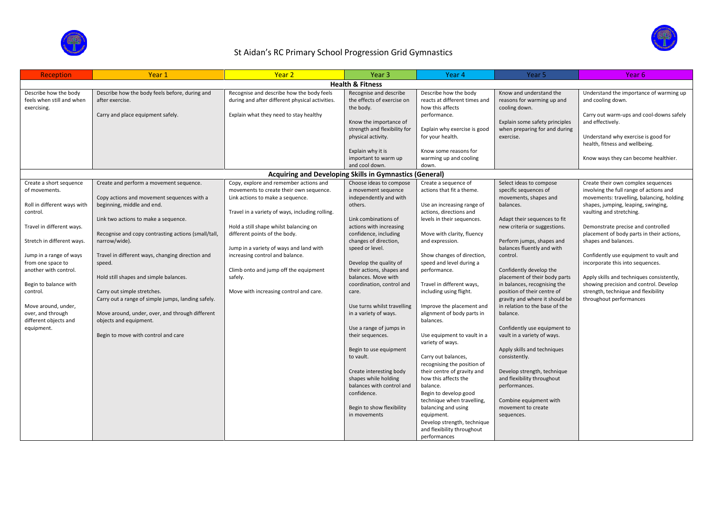

## St Aidan's RC Primary School Progression Grid Gymnastics

| Reception                               | Year 1                                              | Year <sub>2</sub>                                              | Year <sub>3</sub>                                      | Year 4                                                | Year 5                                                           | Year 6                                                          |  |  |
|-----------------------------------------|-----------------------------------------------------|----------------------------------------------------------------|--------------------------------------------------------|-------------------------------------------------------|------------------------------------------------------------------|-----------------------------------------------------------------|--|--|
| <b>Health &amp; Fitness</b>             |                                                     |                                                                |                                                        |                                                       |                                                                  |                                                                 |  |  |
| Describe how the body                   | Describe how the body feels before, during and      | Recognise and describe how the body feels                      | Recognise and describe                                 | Describe how the body                                 | Know and understand the                                          | Understand the importance of warming up                         |  |  |
| feels when still and when               | after exercise.                                     | during and after different physical activities.                | the effects of exercise on                             | reacts at different times and                         | reasons for warming up and                                       | and cooling down.                                               |  |  |
| exercising.                             |                                                     |                                                                | the body.                                              | how this affects                                      | cooling down.                                                    |                                                                 |  |  |
|                                         | Carry and place equipment safely.                   | Explain what they need to stay healthy                         |                                                        | performance.                                          |                                                                  | Carry out warm-ups and cool-downs safely                        |  |  |
|                                         |                                                     |                                                                | Know the importance of<br>strength and flexibility for | Explain why exercise is good                          | Explain some safety principles<br>when preparing for and during  | and effectively.                                                |  |  |
|                                         |                                                     |                                                                | physical activity.                                     | for your health.                                      | exercise.                                                        | Understand why exercise is good for                             |  |  |
|                                         |                                                     |                                                                |                                                        |                                                       |                                                                  | health, fitness and wellbeing.                                  |  |  |
|                                         |                                                     |                                                                | Explain why it is                                      | Know some reasons for                                 |                                                                  |                                                                 |  |  |
|                                         |                                                     |                                                                | important to warm up                                   | warming up and cooling                                |                                                                  | Know ways they can become healthier.                            |  |  |
|                                         |                                                     |                                                                | and cool down.                                         | down.                                                 |                                                                  |                                                                 |  |  |
|                                         |                                                     | <b>Acquiring and Developing Skills in Gymnastics (General)</b> |                                                        |                                                       |                                                                  |                                                                 |  |  |
| Create a short sequence                 | Create and perform a movement sequence.             | Copy, explore and remember actions and                         | Choose ideas to compose                                | Create a sequence of                                  | Select ideas to compose                                          | Create their own complex sequences                              |  |  |
| of movements.                           |                                                     | movements to create their own sequence.                        | a movement sequence                                    | actions that fit a theme.                             | specific sequences of                                            | involving the full range of actions and                         |  |  |
|                                         | Copy actions and movement sequences with a          | Link actions to make a sequence.                               | independently and with                                 |                                                       | movements, shapes and                                            | movements: travelling, balancing, holding                       |  |  |
| Roll in different ways with<br>control. | beginning, middle and end.                          | Travel in a variety of ways, including rolling.                | others.                                                | Use an increasing range of<br>actions, directions and | balances.                                                        | shapes, jumping, leaping, swinging,<br>vaulting and stretching. |  |  |
|                                         | Link two actions to make a sequence.                |                                                                | Link combinations of                                   | levels in their sequences.                            | Adapt their sequences to fit                                     |                                                                 |  |  |
| Travel in different ways.               |                                                     | Hold a still shape whilst balancing on                         | actions with increasing                                |                                                       | new criteria or suggestions.                                     | Demonstrate precise and controlled                              |  |  |
|                                         | Recognise and copy contrasting actions (small/tall, | different points of the body.                                  | confidence, including                                  | Move with clarity, fluency                            |                                                                  | placement of body parts in their actions,                       |  |  |
| Stretch in different ways.              | narrow/wide).                                       |                                                                | changes of direction,                                  | and expression.                                       | Perform jumps, shapes and                                        | shapes and balances.                                            |  |  |
|                                         |                                                     | Jump in a variety of ways and land with                        | speed or level.                                        |                                                       | balances fluently and with                                       |                                                                 |  |  |
| Jump in a range of ways                 | Travel in different ways, changing direction and    | increasing control and balance.                                |                                                        | Show changes of direction,                            | control.                                                         | Confidently use equipment to vault and                          |  |  |
| from one space to                       | speed.                                              |                                                                | Develop the quality of                                 | speed and level during a                              |                                                                  | incorporate this into sequences.                                |  |  |
| another with control.                   |                                                     | Climb onto and jump off the equipment                          | their actions, shapes and                              | performance.                                          | Confidently develop the                                          |                                                                 |  |  |
|                                         | Hold still shapes and simple balances.              | safely.                                                        | balances. Move with                                    |                                                       | placement of their body parts                                    | Apply skills and techniques consistently,                       |  |  |
| Begin to balance with                   |                                                     |                                                                | coordination, control and                              | Travel in different ways,                             | in balances, recognising the                                     | showing precision and control. Develop                          |  |  |
| control.                                | Carry out simple stretches.                         | Move with increasing control and care.                         | care.                                                  | including using flight.                               | position of their centre of                                      | strength, technique and flexibility                             |  |  |
| Move around, under,                     | Carry out a range of simple jumps, landing safely.  |                                                                | Use turns whilst travelling                            | Improve the placement and                             | gravity and where it should be<br>in relation to the base of the | throughout performances                                         |  |  |
| over, and through                       | Move around, under, over, and through different     |                                                                | in a variety of ways.                                  | alignment of body parts in                            | balance.                                                         |                                                                 |  |  |
| different objects and                   | objects and equipment.                              |                                                                |                                                        | balances.                                             |                                                                  |                                                                 |  |  |
| equipment.                              |                                                     |                                                                | Use a range of jumps in                                |                                                       | Confidently use equipment to                                     |                                                                 |  |  |
|                                         | Begin to move with control and care                 |                                                                | their sequences.                                       | Use equipment to vault in a<br>variety of ways.       | vault in a variety of ways.                                      |                                                                 |  |  |
|                                         |                                                     |                                                                | Begin to use equipment                                 |                                                       | Apply skills and techniques                                      |                                                                 |  |  |
|                                         |                                                     |                                                                | to vault.                                              | Carry out balances,                                   | consistently.                                                    |                                                                 |  |  |
|                                         |                                                     |                                                                |                                                        | recognising the position of                           |                                                                  |                                                                 |  |  |
|                                         |                                                     |                                                                | Create interesting body                                | their centre of gravity and                           | Develop strength, technique                                      |                                                                 |  |  |
|                                         |                                                     |                                                                | shapes while holding                                   | how this affects the                                  | and flexibility throughout                                       |                                                                 |  |  |
|                                         |                                                     |                                                                | balances with control and                              | balance.                                              | performances.                                                    |                                                                 |  |  |
|                                         |                                                     |                                                                | confidence.                                            | Begin to develop good                                 |                                                                  |                                                                 |  |  |
|                                         |                                                     |                                                                |                                                        | technique when travelling,                            | Combine equipment with                                           |                                                                 |  |  |
|                                         |                                                     |                                                                | Begin to show flexibility<br>in movements              | balancing and using<br>equipment.                     | movement to create<br>sequences.                                 |                                                                 |  |  |
|                                         |                                                     |                                                                |                                                        | Develop strength, technique                           |                                                                  |                                                                 |  |  |
|                                         |                                                     |                                                                |                                                        | and flexibility throughout                            |                                                                  |                                                                 |  |  |
|                                         |                                                     |                                                                |                                                        | performances                                          |                                                                  |                                                                 |  |  |

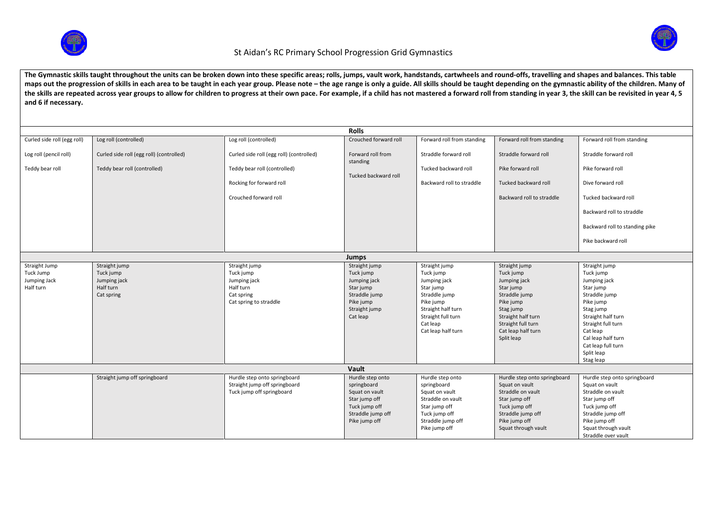

## St Aidan's RC Primary School Progression Grid Gymnastics

**The Gymnastic skills taught throughout the units can be broken down into these specific areas; rolls, jumps, vault work, handstands, cartwheels and round-offs, travelling and shapes and balances. This table**  maps out the progression of skills in each area to be taught in each year group. Please note - the age range is only a guide. All skills should be taught depending on the gymnastic ability of the children. Many of the skills are repeated across year groups to allow for children to progress at their own pace. For example, if a child has not mastered a forward roll from standing in year 3, the skill can be revisited in year 4, 5 **and 6 if necessary.**

| <b>Rolls</b>                                            |                                                                       |                                                                                                 |                                                                                                                           |                                                                                                                                                                     |                                                                                                                                                                                    |                                                                                                                                                                                                                                   |                   |  |  |  |
|---------------------------------------------------------|-----------------------------------------------------------------------|-------------------------------------------------------------------------------------------------|---------------------------------------------------------------------------------------------------------------------------|---------------------------------------------------------------------------------------------------------------------------------------------------------------------|------------------------------------------------------------------------------------------------------------------------------------------------------------------------------------|-----------------------------------------------------------------------------------------------------------------------------------------------------------------------------------------------------------------------------------|-------------------|--|--|--|
| Curled side roll (egg roll)                             | Log roll (controlled)                                                 | Log roll (controlled)                                                                           | Crouched forward roll                                                                                                     | Forward roll from standing                                                                                                                                          | Forward roll from standing                                                                                                                                                         | Forward roll from standing                                                                                                                                                                                                        |                   |  |  |  |
| Log roll (pencil roll)                                  | Curled side roll (egg roll) (controlled)                              | Curled side roll (egg roll) (controlled)                                                        | Forward roll from<br>standing<br>Tucked backward roll                                                                     | Straddle forward roll                                                                                                                                               | Straddle forward roll                                                                                                                                                              | Straddle forward roll                                                                                                                                                                                                             |                   |  |  |  |
| Teddy bear roll                                         | Teddy bear roll (controlled)                                          | Teddy bear roll (controlled)                                                                    |                                                                                                                           | Tucked backward roll                                                                                                                                                | Pike forward roll                                                                                                                                                                  | Pike forward roll                                                                                                                                                                                                                 |                   |  |  |  |
|                                                         |                                                                       | Rocking for forward roll                                                                        |                                                                                                                           |                                                                                                                                                                     | Backward roll to straddle                                                                                                                                                          | Tucked backward roll                                                                                                                                                                                                              | Dive forward roll |  |  |  |
|                                                         |                                                                       | Crouched forward roll                                                                           |                                                                                                                           |                                                                                                                                                                     | Backward roll to straddle                                                                                                                                                          | Tucked backward roll                                                                                                                                                                                                              |                   |  |  |  |
|                                                         |                                                                       |                                                                                                 |                                                                                                                           |                                                                                                                                                                     |                                                                                                                                                                                    | Backward roll to straddle                                                                                                                                                                                                         |                   |  |  |  |
|                                                         |                                                                       |                                                                                                 |                                                                                                                           |                                                                                                                                                                     |                                                                                                                                                                                    | Backward roll to standing pike                                                                                                                                                                                                    |                   |  |  |  |
|                                                         |                                                                       |                                                                                                 |                                                                                                                           |                                                                                                                                                                     |                                                                                                                                                                                    | Pike backward roll                                                                                                                                                                                                                |                   |  |  |  |
|                                                         |                                                                       |                                                                                                 | <b>Jumps</b>                                                                                                              |                                                                                                                                                                     |                                                                                                                                                                                    |                                                                                                                                                                                                                                   |                   |  |  |  |
| Straight Jump<br>Tuck Jump<br>Jumping Jack<br>Half turn | Straight jump<br>Tuck jump<br>Jumping jack<br>Half turn<br>Cat spring | Straight jump<br>Tuck jump<br>Jumping jack<br>Half turn<br>Cat spring<br>Cat spring to straddle | Straight jump<br>Tuck jump<br>Jumping jack<br>Star jump<br>Straddle jump<br>Pike jump<br>Straight jump<br>Cat leap        | Straight jump<br>Tuck jump<br>Jumping jack<br>Star jump<br>Straddle jump<br>Pike jump<br>Straight half turn<br>Straight full turn<br>Cat leap<br>Cat leap half turn | Straight jump<br>Tuck jump<br>Jumping jack<br>Star jump<br>Straddle jump<br>Pike jump<br>Stag jump<br>Straight half turn<br>Straight full turn<br>Cat leap half turn<br>Split leap | Straight jump<br>Tuck jump<br>Jumping jack<br>Star jump<br>Straddle jump<br>Pike jump<br>Stag jump<br>Straight half turn<br>Straight full turn<br>Cat leap<br>Cal leap half turn<br>Cat leap full turn<br>Split leap<br>Stag leap |                   |  |  |  |
| Vault                                                   |                                                                       |                                                                                                 |                                                                                                                           |                                                                                                                                                                     |                                                                                                                                                                                    |                                                                                                                                                                                                                                   |                   |  |  |  |
|                                                         | Straight jump off springboard                                         | Hurdle step onto springboard<br>Straight jump off springboard<br>Tuck jump off springboard      | Hurdle step onto<br>springboard<br>Squat on vault<br>Star jump off<br>Tuck jump off<br>Straddle jump off<br>Pike jump off | Hurdle step onto<br>springboard<br>Squat on vault<br>Straddle on vault<br>Star jump off<br>Tuck jump off<br>Straddle jump off<br>Pike jump off                      | Hurdle step onto springboard<br>Squat on vault<br>Straddle on vault<br>Star jump off<br>Tuck jump off<br>Straddle jump off<br>Pike jump off<br>Squat through vault                 | Hurdle step onto springboard<br>Squat on vault<br>Straddle on vault<br>Star jump off<br>Tuck jump off<br>Straddle jump off<br>Pike jump off<br>Squat through vault<br>Straddle over vault                                         |                   |  |  |  |